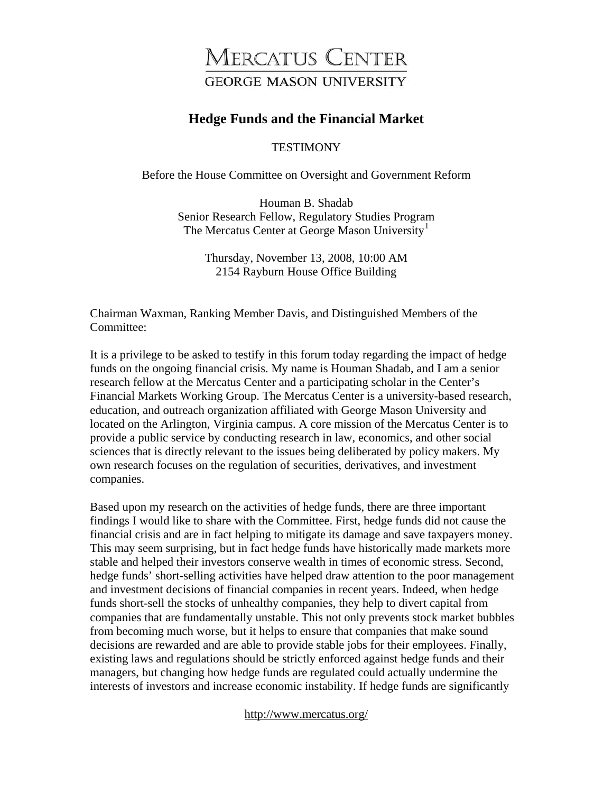

# **Hedge Funds and the Financial Market**

**TESTIMONY** 

Before the House Committee on Oversight and Government Reform

Houman B. Shadab Senior Research Fellow, Regulatory Studies Program The Mercatus Center at George Mason University<sup>[1](#page-16-0)</sup>

> Thursday, November 13, 2008, 10:00 AM 2154 Rayburn House Office Building

Chairman Waxman, Ranking Member Davis, and Distinguished Members of the Committee:

It is a privilege to be asked to testify in this forum today regarding the impact of hedge funds on the ongoing financial crisis. My name is Houman Shadab, and I am a senior research fellow at the Mercatus Center and a participating scholar in the Center's Financial Markets Working Group. The Mercatus Center is a university-based research, education, and outreach organization affiliated with George Mason University and located on the Arlington, Virginia campus. A core mission of the Mercatus Center is to provide a public service by conducting research in law, economics, and other social sciences that is directly relevant to the issues being deliberated by policy makers. My own research focuses on the regulation of securities, derivatives, and investment companies.

Based upon my research on the activities of hedge funds, there are three important findings I would like to share with the Committee. First, hedge funds did not cause the financial crisis and are in fact helping to mitigate its damage and save taxpayers money. This may seem surprising, but in fact hedge funds have historically made markets more stable and helped their investors conserve wealth in times of economic stress. Second, hedge funds' short-selling activities have helped draw attention to the poor management and investment decisions of financial companies in recent years. Indeed, when hedge funds short-sell the stocks of unhealthy companies, they help to divert capital from companies that are fundamentally unstable. This not only prevents stock market bubbles from becoming much worse, but it helps to ensure that companies that make sound decisions are rewarded and are able to provide stable jobs for their employees. Finally, existing laws and regulations should be strictly enforced against hedge funds and their managers, but changing how hedge funds are regulated could actually undermine the interests of investors and increase economic instability. If hedge funds are significantly

<http://www.mercatus.org/>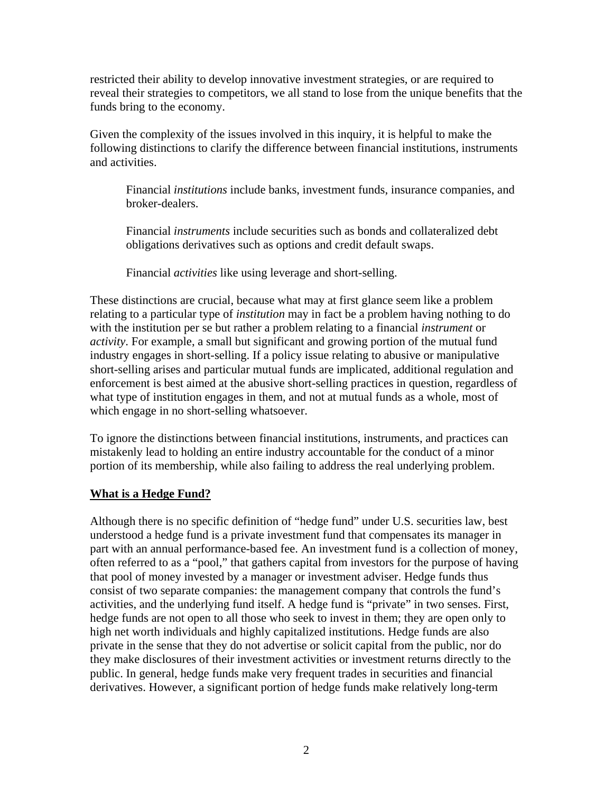restricted their ability to develop innovative investment strategies, or are required to reveal their strategies to competitors, we all stand to lose from the unique benefits that the funds bring to the economy.

Given the complexity of the issues involved in this inquiry, it is helpful to make the following distinctions to clarify the difference between financial institutions, instruments and activities.

Financial *institutions* include banks, investment funds, insurance companies, and broker-dealers.

Financial *instruments* include securities such as bonds and collateralized debt obligations derivatives such as options and credit default swaps.

Financial *activities* like using leverage and short-selling.

These distinctions are crucial, because what may at first glance seem like a problem relating to a particular type of *institution* may in fact be a problem having nothing to do with the institution per se but rather a problem relating to a financial *instrument* or *activity*. For example, a small but significant and growing portion of the mutual fund industry engages in short-selling. If a policy issue relating to abusive or manipulative short-selling arises and particular mutual funds are implicated, additional regulation and enforcement is best aimed at the abusive short-selling practices in question, regardless of what type of institution engages in them, and not at mutual funds as a whole, most of which engage in no short-selling whatsoever.

To ignore the distinctions between financial institutions, instruments, and practices can mistakenly lead to holding an entire industry accountable for the conduct of a minor portion of its membership, while also failing to address the real underlying problem.

### **What is a Hedge Fund?**

Although there is no specific definition of "hedge fund" under U.S. securities law, best understood a hedge fund is a private investment fund that compensates its manager in part with an annual performance-based fee. An investment fund is a collection of money, often referred to as a "pool," that gathers capital from investors for the purpose of having that pool of money invested by a manager or investment adviser. Hedge funds thus consist of two separate companies: the management company that controls the fund's activities, and the underlying fund itself. A hedge fund is "private" in two senses. First, hedge funds are not open to all those who seek to invest in them; they are open only to high net worth individuals and highly capitalized institutions. Hedge funds are also private in the sense that they do not advertise or solicit capital from the public, nor do they make disclosures of their investment activities or investment returns directly to the public. In general, hedge funds make very frequent trades in securities and financial derivatives. However, a significant portion of hedge funds make relatively long-term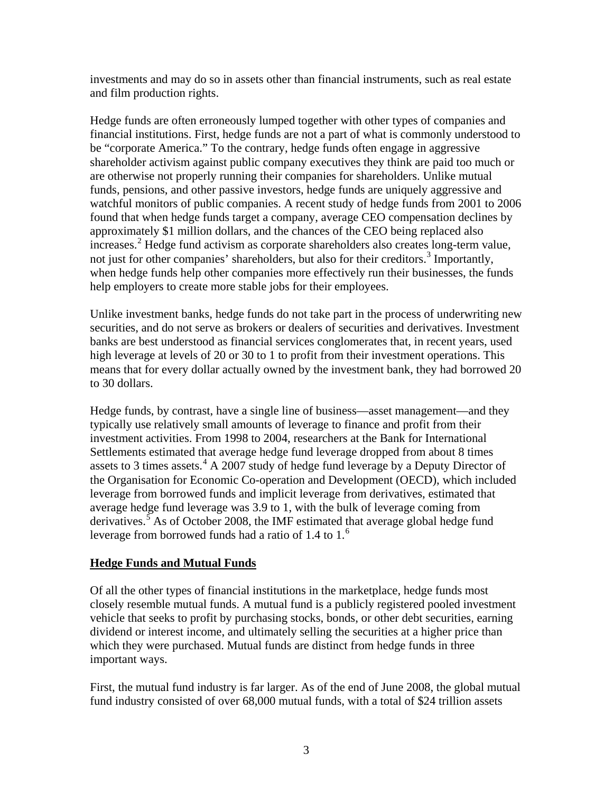investments and may do so in assets other than financial instruments, such as real estate and film production rights.

Hedge funds are often erroneously lumped together with other types of companies and financial institutions. First, hedge funds are not a part of what is commonly understood to be "corporate America." To the contrary, hedge funds often engage in aggressive shareholder activism against public company executives they think are paid too much or are otherwise not properly running their companies for shareholders. Unlike mutual funds, pensions, and other passive investors, hedge funds are uniquely aggressive and watchful monitors of public companies. A recent study of hedge funds from 2001 to 2006 found that when hedge funds target a company, average CEO compensation declines by approximately \$1 million dollars, and the chances of the CEO being replaced also increases.<sup>[2](#page-16-1)</sup> Hedge fund activism as corporate shareholders also creates long-term value, not just for other companies' shareholders, but also for their creditors.<sup>[3](#page-16-1)</sup> Importantly, when hedge funds help other companies more effectively run their businesses, the funds help employers to create more stable jobs for their employees.

Unlike investment banks, hedge funds do not take part in the process of underwriting new securities, and do not serve as brokers or dealers of securities and derivatives. Investment banks are best understood as financial services conglomerates that, in recent years, used high leverage at levels of 20 or 30 to 1 to profit from their investment operations. This means that for every dollar actually owned by the investment bank, they had borrowed 20 to 30 dollars.

Hedge funds, by contrast, have a single line of business—asset management—and they typically use relatively small amounts of leverage to finance and profit from their investment activities. From 1998 to 2004, researchers at the Bank for International Settlements estimated that average hedge fund leverage dropped from about 8 times assets to 3 times assets. $^{4}$  $^{4}$  $^{4}$  A 2007 study of hedge fund leverage by a Deputy Director of the Organisation for Economic Co-operation and Development (OECD), which included leverage from borrowed funds and implicit leverage from derivatives, estimated that average hedge fund leverage was 3.9 to 1, with the bulk of leverage coming from derivatives.<sup>[5](#page-16-1)</sup> As of October 2008, the IMF estimated that average global hedge fund leverage from borrowed funds had a ratio of 1.4 to  $1<sup>6</sup>$  $1<sup>6</sup>$  $1<sup>6</sup>$ 

### **Hedge Funds and Mutual Funds**

Of all the other types of financial institutions in the marketplace, hedge funds most closely resemble mutual funds. A mutual fund is a publicly registered pooled investment vehicle that seeks to profit by purchasing stocks, bonds, or other debt securities, earning dividend or interest income, and ultimately selling the securities at a higher price than which they were purchased. Mutual funds are distinct from hedge funds in three important ways.

First, the mutual fund industry is far larger. As of the end of June 2008, the global mutual fund industry consisted of over 68,000 mutual funds, with a total of \$24 trillion assets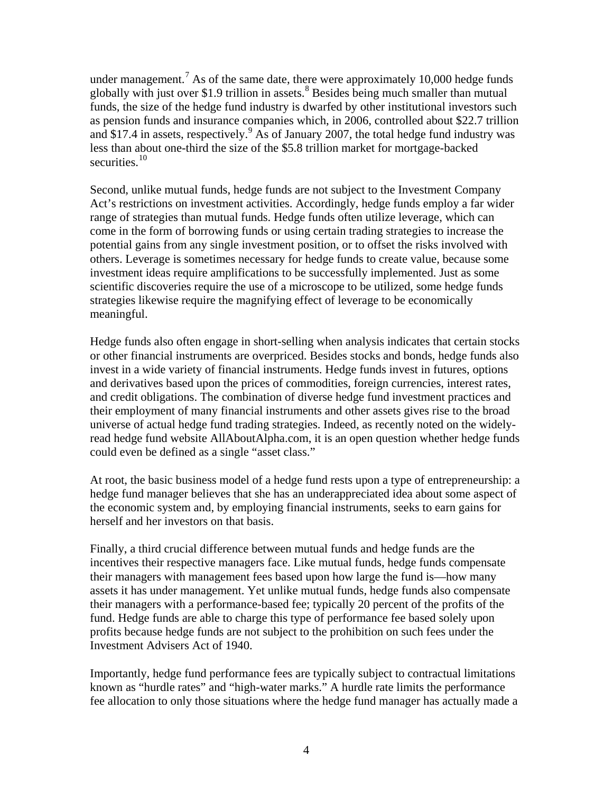under management.<sup>[7](#page-16-1)</sup> As of the same date, there were approximately 10,000 hedge funds globally with just over \$1.9 trillion in assets.<sup>[8](#page-16-1)</sup> Besides being much smaller than mutual funds, the size of the hedge fund industry is dwarfed by other institutional investors such as pension funds and insurance companies which, in 2006, controlled about \$22.7 trillion and \$17.4 in assets, respectively.  $\frac{9}{10}$  $\frac{9}{10}$  $\frac{9}{10}$  As of January 2007, the total hedge fund industry was less than about one-third the size of the \$5.8 trillion market for mortgage-backed securities. $10$ 

Second, unlike mutual funds, hedge funds are not subject to the Investment Company Act's restrictions on investment activities. Accordingly, hedge funds employ a far wider range of strategies than mutual funds. Hedge funds often utilize leverage, which can come in the form of borrowing funds or using certain trading strategies to increase the potential gains from any single investment position, or to offset the risks involved with others. Leverage is sometimes necessary for hedge funds to create value, because some investment ideas require amplifications to be successfully implemented. Just as some scientific discoveries require the use of a microscope to be utilized, some hedge funds strategies likewise require the magnifying effect of leverage to be economically meaningful.

Hedge funds also often engage in short-selling when analysis indicates that certain stocks or other financial instruments are overpriced. Besides stocks and bonds, hedge funds also invest in a wide variety of financial instruments. Hedge funds invest in futures, options and derivatives based upon the prices of commodities, foreign currencies, interest rates, and credit obligations. The combination of diverse hedge fund investment practices and their employment of many financial instruments and other assets gives rise to the broad universe of actual hedge fund trading strategies. Indeed, as recently noted on the widelyread hedge fund website AllAboutAlpha.com, it is an open question whether hedge funds could even be defined as a single "asset class."

At root, the basic business model of a hedge fund rests upon a type of entrepreneurship: a hedge fund manager believes that she has an underappreciated idea about some aspect of the economic system and, by employing financial instruments, seeks to earn gains for herself and her investors on that basis.

Finally, a third crucial difference between mutual funds and hedge funds are the incentives their respective managers face. Like mutual funds, hedge funds compensate their managers with management fees based upon how large the fund is—how many assets it has under management. Yet unlike mutual funds, hedge funds also compensate their managers with a performance-based fee; typically 20 percent of the profits of the fund. Hedge funds are able to charge this type of performance fee based solely upon profits because hedge funds are not subject to the prohibition on such fees under the Investment Advisers Act of 1940.

Importantly, hedge fund performance fees are typically subject to contractual limitations known as "hurdle rates" and "high-water marks." A hurdle rate limits the performance fee allocation to only those situations where the hedge fund manager has actually made a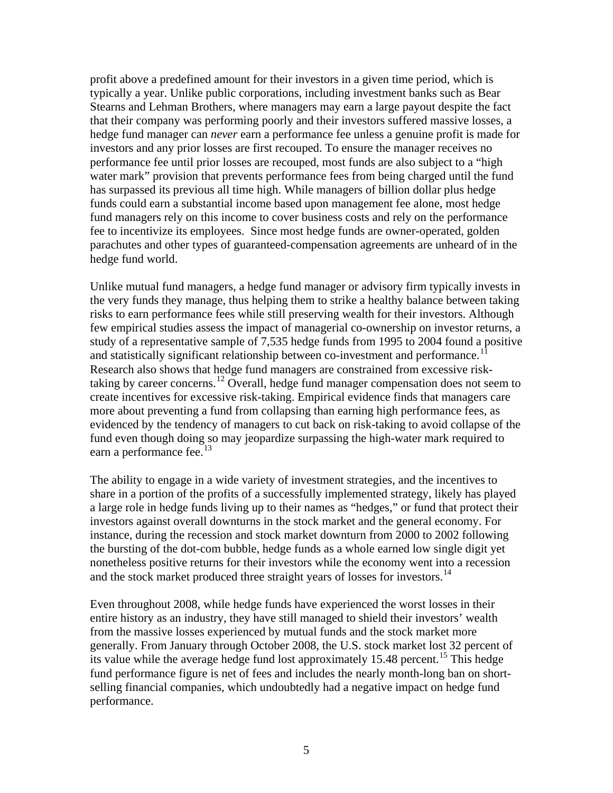profit above a predefined amount for their investors in a given time period, which is typically a year. Unlike public corporations, including investment banks such as Bear Stearns and Lehman Brothers, where managers may earn a large payout despite the fact that their company was performing poorly and their investors suffered massive losses, a hedge fund manager can *never* earn a performance fee unless a genuine profit is made for investors and any prior losses are first recouped. To ensure the manager receives no performance fee until prior losses are recouped, most funds are also subject to a "high water mark" provision that prevents performance fees from being charged until the fund has surpassed its previous all time high. While managers of billion dollar plus hedge funds could earn a substantial income based upon management fee alone, most hedge fund managers rely on this income to cover business costs and rely on the performance fee to incentivize its employees. Since most hedge funds are owner-operated, golden parachutes and other types of guaranteed-compensation agreements are unheard of in the hedge fund world.

Unlike mutual fund managers, a hedge fund manager or advisory firm typically invests in the very funds they manage, thus helping them to strike a healthy balance between taking risks to earn performance fees while still preserving wealth for their investors. Although few empirical studies assess the impact of managerial co-ownership on investor returns, a study of a representative sample of 7,535 hedge funds from 1995 to 2004 found a positive and statistically significant relationship between co-investment and performance.<sup>1</sup> Research also shows that hedge fund managers are constrained from excessive risk-taking by career concerns.<sup>[12](#page-16-1)</sup> Overall, hedge fund manager compensation does not seem to create incentives for excessive risk-taking. Empirical evidence finds that managers care more about preventing a fund from collapsing than earning high performance fees, as evidenced by the tendency of managers to cut back on risk-taking to avoid collapse of the fund even though doing so may jeopardize surpassing the high-water mark required to earn a performance fee.<sup>[13](#page-16-1)</sup>

The ability to engage in a wide variety of investment strategies, and the incentives to share in a portion of the profits of a successfully implemented strategy, likely has played a large role in hedge funds living up to their names as "hedges," or fund that protect their investors against overall downturns in the stock market and the general economy. For instance, during the recession and stock market downturn from 2000 to 2002 following the bursting of the dot-com bubble, hedge funds as a whole earned low single digit yet nonetheless positive returns for their investors while the economy went into a recession and the stock market produced three straight years of losses for investors.<sup>[14](#page-16-1)</sup>

Even throughout 2008, while hedge funds have experienced the worst losses in their entire history as an industry, they have still managed to shield their investors' wealth from the massive losses experienced by mutual funds and the stock market more generally. From January through October 2008, the U.S. stock market lost 32 percent of its value while the average hedge fund lost approximately [15](#page-16-1).48 percent.<sup>15</sup> This hedge fund performance figure is net of fees and includes the nearly month-long ban on shortselling financial companies, which undoubtedly had a negative impact on hedge fund performance.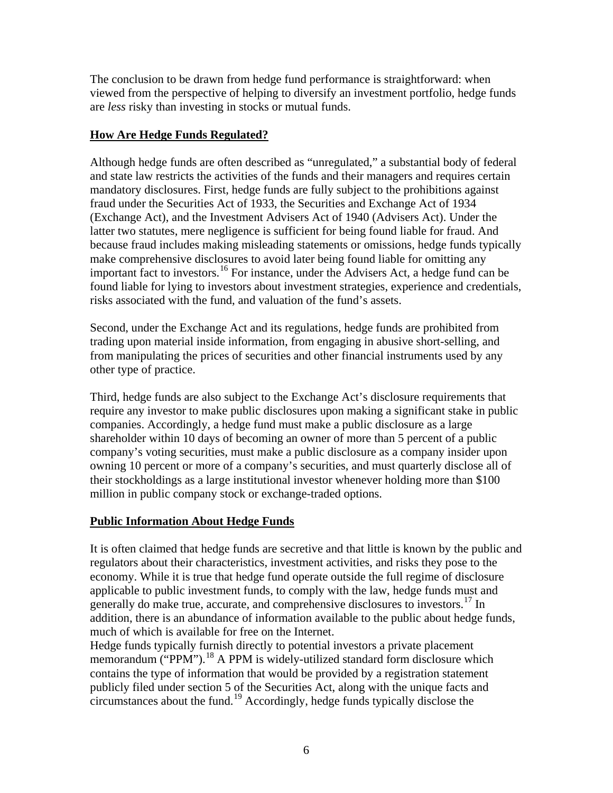The conclusion to be drawn from hedge fund performance is straightforward: when viewed from the perspective of helping to diversify an investment portfolio, hedge funds are *less* risky than investing in stocks or mutual funds.

## **How Are Hedge Funds Regulated?**

Although hedge funds are often described as "unregulated," a substantial body of federal and state law restricts the activities of the funds and their managers and requires certain mandatory disclosures. First, hedge funds are fully subject to the prohibitions against fraud under the Securities Act of 1933, the Securities and Exchange Act of 1934 (Exchange Act), and the Investment Advisers Act of 1940 (Advisers Act). Under the latter two statutes, mere negligence is sufficient for being found liable for fraud. And because fraud includes making misleading statements or omissions, hedge funds typically make comprehensive disclosures to avoid later being found liable for omitting any important fact to investors.[16](#page-16-1) For instance, under the Advisers Act, a hedge fund can be found liable for lying to investors about investment strategies, experience and credentials, risks associated with the fund, and valuation of the fund's assets.

Second, under the Exchange Act and its regulations, hedge funds are prohibited from trading upon material inside information, from engaging in abusive short-selling, and from manipulating the prices of securities and other financial instruments used by any other type of practice.

Third, hedge funds are also subject to the Exchange Act's disclosure requirements that require any investor to make public disclosures upon making a significant stake in public companies. Accordingly, a hedge fund must make a public disclosure as a large shareholder within 10 days of becoming an owner of more than 5 percent of a public company's voting securities, must make a public disclosure as a company insider upon owning 10 percent or more of a company's securities, and must quarterly disclose all of their stockholdings as a large institutional investor whenever holding more than \$100 million in public company stock or exchange-traded options.

### **Public Information About Hedge Funds**

It is often claimed that hedge funds are secretive and that little is known by the public and regulators about their characteristics, investment activities, and risks they pose to the economy. While it is true that hedge fund operate outside the full regime of disclosure applicable to public investment funds, to comply with the law, hedge funds must and generally do make true, accurate, and comprehensive disclosures to investors.<sup>17</sup> In addition, there is an abundance of information available to the public about hedge funds, much of which is available for free on the Internet.

Hedge funds typically furnish directly to potential investors a private placement memorandum ("PPM").<sup>18</sup> A PPM is widely-utilized standard form disclosure which contains the type of information that would be provided by a registration statement publicly filed under section 5 of the Securities Act, along with the unique facts and circumstances about the fund.[19](#page-17-0) Accordingly, hedge funds typically disclose the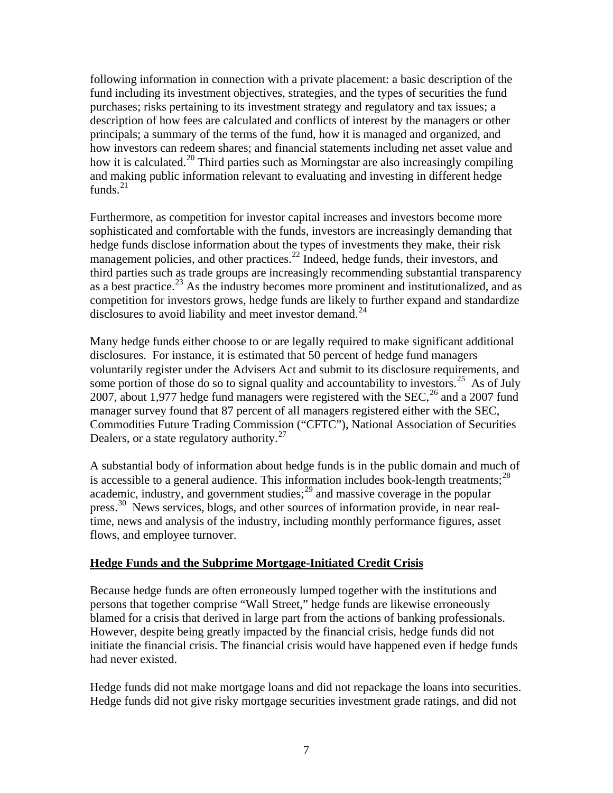following information in connection with a private placement: a basic description of the fund including its investment objectives, strategies, and the types of securities the fund purchases; risks pertaining to its investment strategy and regulatory and tax issues; a description of how fees are calculated and conflicts of interest by the managers or other principals; a summary of the terms of the fund, how it is managed and organized, and how investors can redeem shares; and financial statements including net asset value and how it is calculated.<sup>20</sup> Third parties such as Morningstar are also increasingly compiling and making public information relevant to evaluating and investing in different hedge funds. $^{21}$  $^{21}$  $^{21}$ 

Furthermore, as competition for investor capital increases and investors become more sophisticated and comfortable with the funds, investors are increasingly demanding that hedge funds disclose information about the types of investments they make, their risk management policies, and other practices.<sup>22</sup> Indeed, hedge funds, their investors, and third parties such as trade groups are increasingly recommending substantial transparency as a best practice.<sup>[23](#page-17-0)</sup> As the industry becomes more prominent and institutionalized, and as competition for investors grows, hedge funds are likely to further expand and standardize disclosures to avoid liability and meet investor demand.<sup>[24](#page-17-0)</sup>

Many hedge funds either choose to or are legally required to make significant additional disclosures. For instance, it is estimated that 50 percent of hedge fund managers voluntarily register under the Advisers Act and submit to its disclosure requirements, and some portion of those do so to signal quality and accountability to investors.<sup>25</sup> As of July 2007, about 1,977 hedge fund managers were registered with the SEC,  $^{26}$  and a 2007 fund manager survey found that 87 percent of all managers registered either with the SEC, Commodities Future Trading Commission ("CFTC"), National Association of Securities Dealers, or a state regulatory authority. $27$ 

A substantial body of information about hedge funds is in the public domain and much of is accessible to a general audience. This information includes book-length treatments;  $^{28}$  $^{28}$  $^{28}$ academic, industry, and government studies; $^{29}$  and massive coverage in the popular press.<sup>[30](#page-17-0)</sup> News services, blogs, and other sources of information provide, in near realtime, news and analysis of the industry, including monthly performance figures, asset flows, and employee turnover.

### **Hedge Funds and the Subprime Mortgage-Initiated Credit Crisis**

Because hedge funds are often erroneously lumped together with the institutions and persons that together comprise "Wall Street," hedge funds are likewise erroneously blamed for a crisis that derived in large part from the actions of banking professionals. However, despite being greatly impacted by the financial crisis, hedge funds did not initiate the financial crisis. The financial crisis would have happened even if hedge funds had never existed.

Hedge funds did not make mortgage loans and did not repackage the loans into securities. Hedge funds did not give risky mortgage securities investment grade ratings, and did not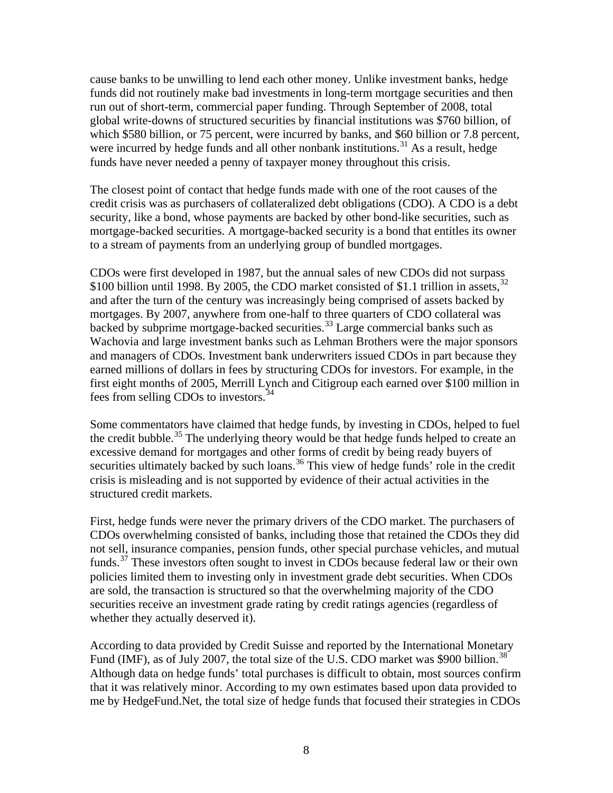cause banks to be unwilling to lend each other money. Unlike investment banks, hedge funds did not routinely make bad investments in long-term mortgage securities and then run out of short-term, commercial paper funding. Through September of 2008, total global write-downs of structured securities by financial institutions was \$760 billion, of which \$580 billion, or 75 percent, were incurred by banks, and \$60 billion or 7.8 percent, were incurred by hedge funds and all other nonbank institutions.<sup>31</sup> As a result, hedge funds have never needed a penny of taxpayer money throughout this crisis.

The closest point of contact that hedge funds made with one of the root causes of the credit crisis was as purchasers of collateralized debt obligations (CDO). A CDO is a debt security, like a bond, whose payments are backed by other bond-like securities, such as mortgage-backed securities. A mortgage-backed security is a bond that entitles its owner to a stream of payments from an underlying group of bundled mortgages.

CDOs were first developed in 1987, but the annual sales of new CDOs did not surpass \$100 billion until 1998. By 2005, the CDO market consisted of \$1.1 trillion in assets,<sup>[32](#page-17-0)</sup> and after the turn of the century was increasingly being comprised of assets backed by mortgages. By 2007, anywhere from one-half to three quarters of CDO collateral was backed by subprime mortgage-backed securities.<sup>33</sup> Large commercial banks such as Wachovia and large investment banks such as Lehman Brothers were the major sponsors and managers of CDOs. Investment bank underwriters issued CDOs in part because they earned millions of dollars in fees by structuring CDOs for investors. For example, in the first eight months of 2005, Merrill Lynch and Citigroup each earned over \$100 million in fees from selling CDOs to investors.<sup>[34](#page-18-0)</sup>

Some commentators have claimed that hedge funds, by investing in CDOs, helped to fuel the credit bubble.<sup>[35](#page-18-0)</sup> The underlying theory would be that hedge funds helped to create an excessive demand for mortgages and other forms of credit by being ready buyers of securities ultimately backed by such loans.<sup>36</sup> This view of hedge funds' role in the credit crisis is misleading and is not supported by evidence of their actual activities in the structured credit markets.

First, hedge funds were never the primary drivers of the CDO market. The purchasers of CDOs overwhelming consisted of banks, including those that retained the CDOs they did not sell, insurance companies, pension funds, other special purchase vehicles, and mutual funds.<sup>[37](#page-18-0)</sup> These investors often sought to invest in CDOs because federal law or their own policies limited them to investing only in investment grade debt securities. When CDOs are sold, the transaction is structured so that the overwhelming majority of the CDO securities receive an investment grade rating by credit ratings agencies (regardless of whether they actually deserved it).

According to data provided by Credit Suisse and reported by the International Monetary Fund (IMF), as of July 2007, the total size of the U.S. CDO market was \$900 billion.<sup>[38](#page-18-0)</sup> Although data on hedge funds' total purchases is difficult to obtain, most sources confirm that it was relatively minor. According to my own estimates based upon data provided to me by HedgeFund.Net, the total size of hedge funds that focused their strategies in CDOs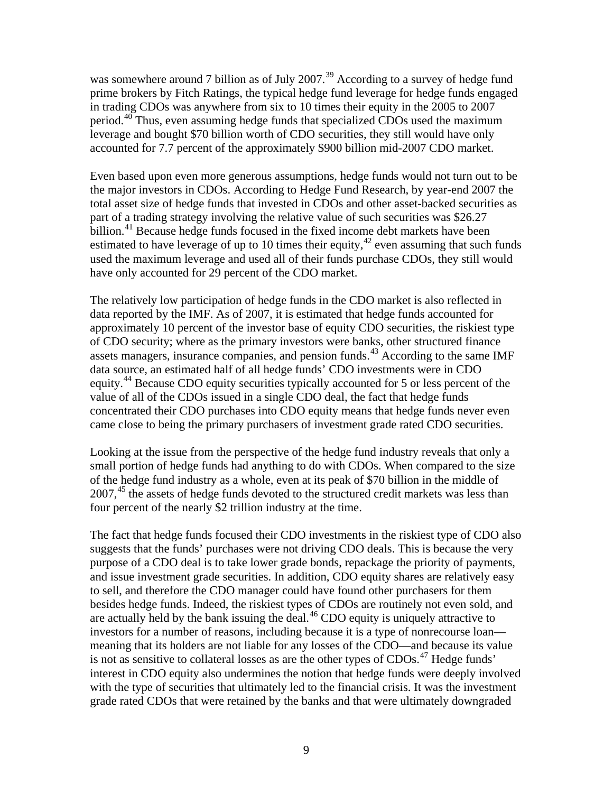was somewhere around 7 billion as of July 2007.<sup>39</sup> According to a survey of hedge fund prime brokers by Fitch Ratings, the typical hedge fund leverage for hedge funds engaged in trading CDOs was anywhere from six to 10 times their equity in the 2005 to 2007 period.<sup>[40](#page-18-0)</sup> Thus, even assuming hedge funds that specialized CDOs used the maximum leverage and bought \$70 billion worth of CDO securities, they still would have only accounted for 7.7 percent of the approximately \$900 billion mid-2007 CDO market.

Even based upon even more generous assumptions, hedge funds would not turn out to be the major investors in CDOs. According to Hedge Fund Research, by year-end 2007 the total asset size of hedge funds that invested in CDOs and other asset-backed securities as part of a trading strategy involving the relative value of such securities was \$26.27 billion.<sup>41</sup> Because hedge funds focused in the fixed income debt markets have been estimated to have leverage of up to 10 times their equity,<sup>[42](#page-18-0)</sup> even assuming that such funds used the maximum leverage and used all of their funds purchase CDOs, they still would have only accounted for 29 percent of the CDO market.

The relatively low participation of hedge funds in the CDO market is also reflected in data reported by the IMF. As of 2007, it is estimated that hedge funds accounted for approximately 10 percent of the investor base of equity CDO securities, the riskiest type of CDO security; where as the primary investors were banks, other structured finance assets managers, insurance companies, and pension funds.[43](#page-18-0) According to the same IMF data source, an estimated half of all hedge funds' CDO investments were in CDO equity.<sup>44</sup> Because CDO equity securities typically accounted for 5 or less percent of the value of all of the CDOs issued in a single CDO deal, the fact that hedge funds concentrated their CDO purchases into CDO equity means that hedge funds never even came close to being the primary purchasers of investment grade rated CDO securities.

Looking at the issue from the perspective of the hedge fund industry reveals that only a small portion of hedge funds had anything to do with CDOs. When compared to the size of the hedge fund industry as a whole, even at its peak of \$70 billion in the middle of  $2007<sup>45</sup>$ , the assets of hedge funds devoted to the structured credit markets was less than four percent of the nearly \$2 trillion industry at the time.

The fact that hedge funds focused their CDO investments in the riskiest type of CDO also suggests that the funds' purchases were not driving CDO deals. This is because the very purpose of a CDO deal is to take lower grade bonds, repackage the priority of payments, and issue investment grade securities. In addition, CDO equity shares are relatively easy to sell, and therefore the CDO manager could have found other purchasers for them besides hedge funds. Indeed, the riskiest types of CDOs are routinely not even sold, and are actually held by the bank issuing the deal.<sup>46</sup> CDO equity is uniquely attractive to investors for a number of reasons, including because it is a type of nonrecourse loan meaning that its holders are not liable for any losses of the CDO—and because its value is not as sensitive to collateral losses as are the other types of CDOs.<sup>47</sup> Hedge funds' interest in CDO equity also undermines the notion that hedge funds were deeply involved with the type of securities that ultimately led to the financial crisis. It was the investment grade rated CDOs that were retained by the banks and that were ultimately downgraded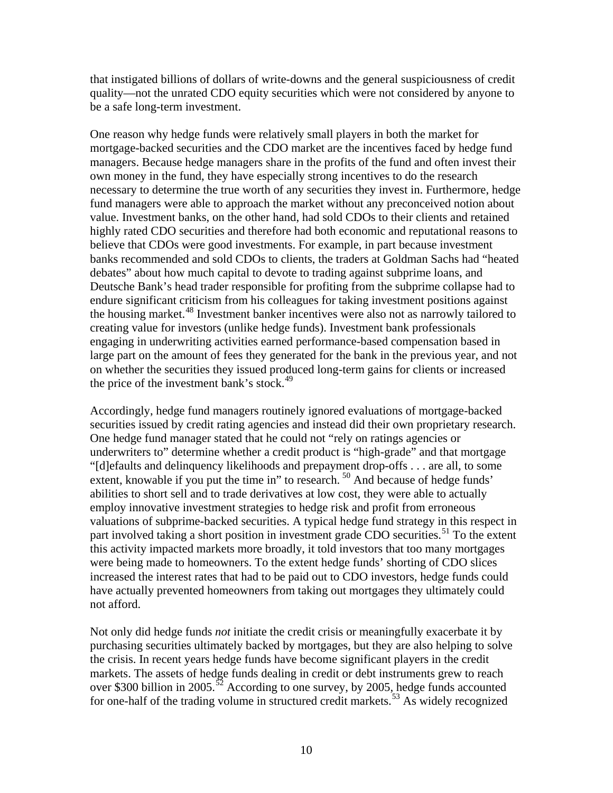that instigated billions of dollars of write-downs and the general suspiciousness of credit quality—not the unrated CDO equity securities which were not considered by anyone to be a safe long-term investment.

One reason why hedge funds were relatively small players in both the market for mortgage-backed securities and the CDO market are the incentives faced by hedge fund managers. Because hedge managers share in the profits of the fund and often invest their own money in the fund, they have especially strong incentives to do the research necessary to determine the true worth of any securities they invest in. Furthermore, hedge fund managers were able to approach the market without any preconceived notion about value. Investment banks, on the other hand, had sold CDOs to their clients and retained highly rated CDO securities and therefore had both economic and reputational reasons to believe that CDOs were good investments. For example, in part because investment banks recommended and sold CDOs to clients, the traders at Goldman Sachs had "heated debates" about how much capital to devote to trading against subprime loans, and Deutsche Bank's head trader responsible for profiting from the subprime collapse had to endure significant criticism from his colleagues for taking investment positions against the housing market.<sup>48</sup> Investment banker incentives were also not as narrowly tailored to creating value for investors (unlike hedge funds). Investment bank professionals engaging in underwriting activities earned performance-based compensation based in large part on the amount of fees they generated for the bank in the previous year, and not on whether the securities they issued produced long-term gains for clients or increased the price of the investment bank's stock. $49$ 

Accordingly, hedge fund managers routinely ignored evaluations of mortgage-backed securities issued by credit rating agencies and instead did their own proprietary research. One hedge fund manager stated that he could not "rely on ratings agencies or underwriters to" determine whether a credit product is "high-grade" and that mortgage "[d]efaults and delinquency likelihoods and prepayment drop-offs . . . are all, to some extent, knowable if you put the time in" to research. <sup>[50](#page-18-0)</sup> And because of hedge funds' abilities to short sell and to trade derivatives at low cost, they were able to actually employ innovative investment strategies to hedge risk and profit from erroneous valuations of subprime-backed securities. A typical hedge fund strategy in this respect in part involved taking a short position in investment grade CDO securities.<sup>[51](#page-18-0)</sup> To the extent this activity impacted markets more broadly, it told investors that too many mortgages were being made to homeowners. To the extent hedge funds' shorting of CDO slices increased the interest rates that had to be paid out to CDO investors, hedge funds could have actually prevented homeowners from taking out mortgages they ultimately could not afford.

Not only did hedge funds *not* initiate the credit crisis or meaningfully exacerbate it by purchasing securities ultimately backed by mortgages, but they are also helping to solve the crisis. In recent years hedge funds have become significant players in the credit markets. The assets of hedge funds dealing in credit or debt instruments grew to reach over \$300 billion in 2005.<sup>52</sup> According to one survey, by 2005, hedge funds accounted for one-half of the trading volume in structured credit markets.<sup>53</sup> As widely recognized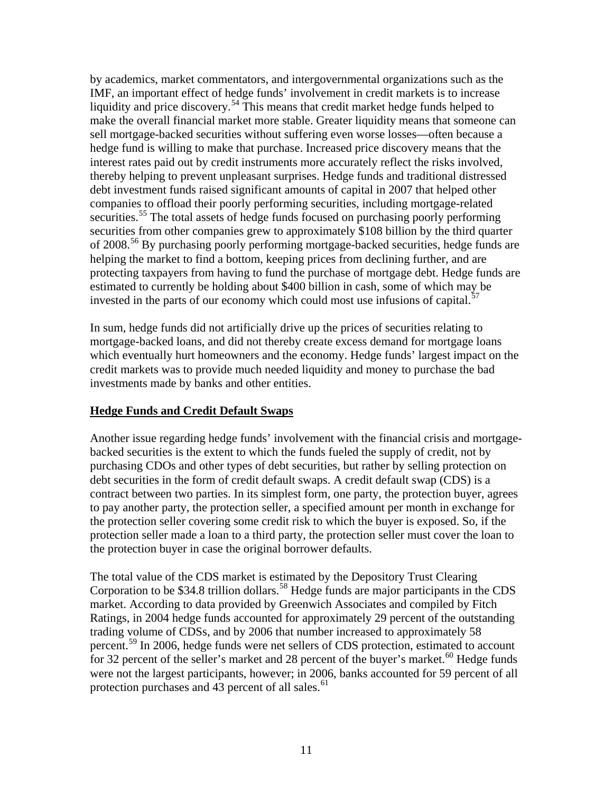by academics, market commentators, and intergovernmental organizations such as the IMF, an important effect of hedge funds' involvement in credit markets is to increase liquidity and price discovery.<sup>[54](#page-19-0)</sup> This means that credit market hedge funds helped to make the overall financial market more stable. Greater liquidity means that someone can sell mortgage-backed securities without suffering even worse losses—often because a hedge fund is willing to make that purchase. Increased price discovery means that the interest rates paid out by credit instruments more accurately reflect the risks involved, thereby helping to prevent unpleasant surprises. Hedge funds and traditional distressed debt investment funds raised significant amounts of capital in 2007 that helped other companies to offload their poorly performing securities, including mortgage-related securities.<sup>55</sup> The total assets of hedge funds focused on purchasing poorly performing securities from other companies grew to approximately \$108 billion by the third quarter of 2008.<sup>56</sup> By purchasing poorly performing mortgage-backed securities, hedge funds are helping the market to find a bottom, keeping prices from declining further, and are protecting taxpayers from having to fund the purchase of mortgage debt. Hedge funds are estimated to currently be holding about \$400 billion in cash, some of which may be invested in the parts of our economy which could most use infusions of capital.<sup>[57](#page-19-0)</sup>

In sum, hedge funds did not artificially drive up the prices of securities relating to mortgage-backed loans, and did not thereby create excess demand for mortgage loans which eventually hurt homeowners and the economy. Hedge funds' largest impact on the credit markets was to provide much needed liquidity and money to purchase the bad investments made by banks and other entities.

### **Hedge Funds and Credit Default Swaps**

Another issue regarding hedge funds' involvement with the financial crisis and mortgagebacked securities is the extent to which the funds fueled the supply of credit, not by purchasing CDOs and other types of debt securities, but rather by selling protection on debt securities in the form of credit default swaps. A credit default swap (CDS) is a contract between two parties. In its simplest form, one party, the protection buyer, agrees to pay another party, the protection seller, a specified amount per month in exchange for the protection seller covering some credit risk to which the buyer is exposed. So, if the protection seller made a loan to a third party, the protection seller must cover the loan to the protection buyer in case the original borrower defaults.

The total value of the CDS market is estimated by the Depository Trust Clearing Corporation to be \$34.8 trillion dollars.<sup>[58](#page-19-0)</sup> Hedge funds are major participants in the CDS market. According to data provided by Greenwich Associates and compiled by Fitch Ratings, in 2004 hedge funds accounted for approximately 29 percent of the outstanding trading volume of CDSs, and by 2006 that number increased to approximately 58 percent.<sup>59</sup> In 2006, hedge funds were net sellers of CDS protection, estimated to account for 32 percent of the seller's market and 28 percent of the buyer's market.<sup>[60](#page-19-0)</sup> Hedge funds were not the largest participants, however; in 2006, banks accounted for 59 percent of all protection purchases and 43 percent of all sales.<sup>[61](#page-19-0)</sup>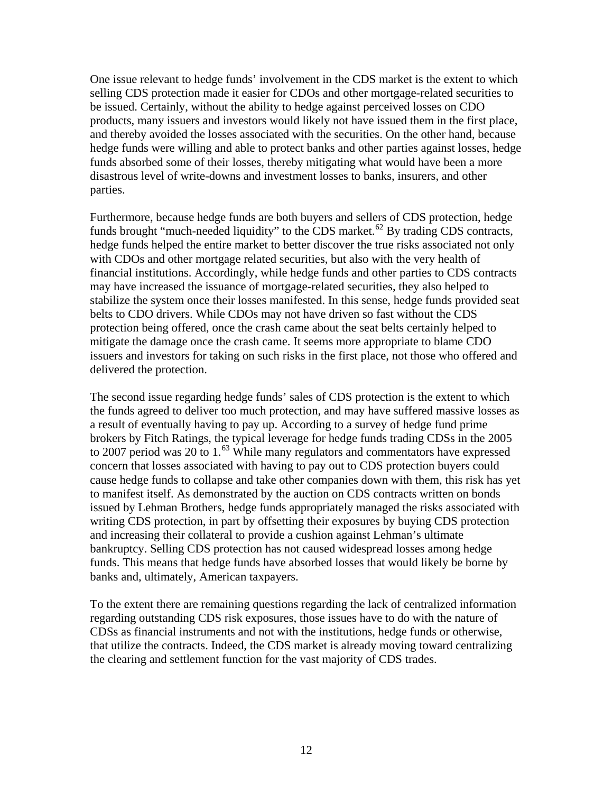One issue relevant to hedge funds' involvement in the CDS market is the extent to which selling CDS protection made it easier for CDOs and other mortgage-related securities to be issued. Certainly, without the ability to hedge against perceived losses on CDO products, many issuers and investors would likely not have issued them in the first place, and thereby avoided the losses associated with the securities. On the other hand, because hedge funds were willing and able to protect banks and other parties against losses, hedge funds absorbed some of their losses, thereby mitigating what would have been a more disastrous level of write-downs and investment losses to banks, insurers, and other parties.

Furthermore, because hedge funds are both buyers and sellers of CDS protection, hedge funds brought "much-needed liquidity" to the CDS market.<sup>[62](#page-19-0)</sup> By trading CDS contracts, hedge funds helped the entire market to better discover the true risks associated not only with CDOs and other mortgage related securities, but also with the very health of financial institutions. Accordingly, while hedge funds and other parties to CDS contracts may have increased the issuance of mortgage-related securities, they also helped to stabilize the system once their losses manifested. In this sense, hedge funds provided seat belts to CDO drivers. While CDOs may not have driven so fast without the CDS protection being offered, once the crash came about the seat belts certainly helped to mitigate the damage once the crash came. It seems more appropriate to blame CDO issuers and investors for taking on such risks in the first place, not those who offered and delivered the protection.

The second issue regarding hedge funds' sales of CDS protection is the extent to which the funds agreed to deliver too much protection, and may have suffered massive losses as a result of eventually having to pay up. According to a survey of hedge fund prime brokers by Fitch Ratings, the typical leverage for hedge funds trading CDSs in the 2005 to 2007 period was 20 to  $1.^{63}$  While many regulators and commentators have expressed concern that losses associated with having to pay out to CDS protection buyers could cause hedge funds to collapse and take other companies down with them, this risk has yet to manifest itself. As demonstrated by the auction on CDS contracts written on bonds issued by Lehman Brothers, hedge funds appropriately managed the risks associated with writing CDS protection, in part by offsetting their exposures by buying CDS protection and increasing their collateral to provide a cushion against Lehman's ultimate bankruptcy. Selling CDS protection has not caused widespread losses among hedge funds. This means that hedge funds have absorbed losses that would likely be borne by banks and, ultimately, American taxpayers.

To the extent there are remaining questions regarding the lack of centralized information regarding outstanding CDS risk exposures, those issues have to do with the nature of CDSs as financial instruments and not with the institutions, hedge funds or otherwise, that utilize the contracts. Indeed, the CDS market is already moving toward centralizing the clearing and settlement function for the vast majority of CDS trades.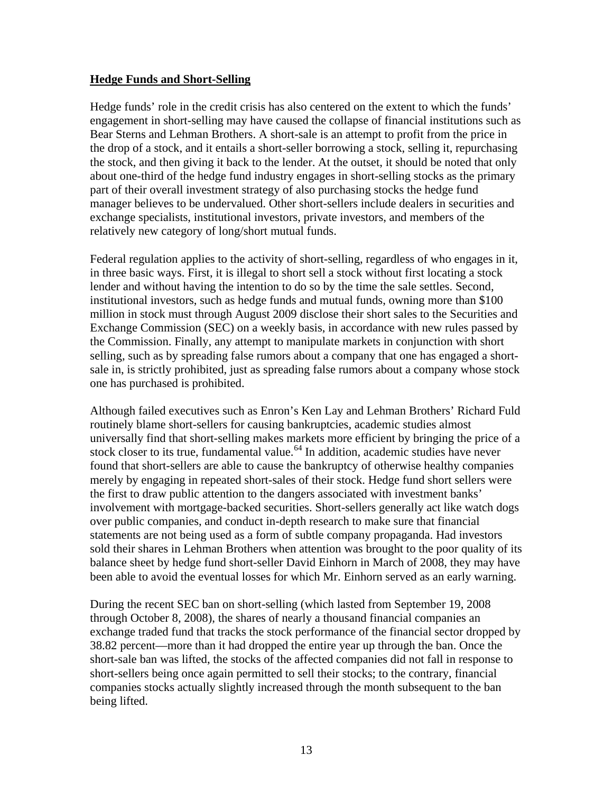#### **Hedge Funds and Short-Selling**

Hedge funds' role in the credit crisis has also centered on the extent to which the funds' engagement in short-selling may have caused the collapse of financial institutions such as Bear Sterns and Lehman Brothers. A short-sale is an attempt to profit from the price in the drop of a stock, and it entails a short-seller borrowing a stock, selling it, repurchasing the stock, and then giving it back to the lender. At the outset, it should be noted that only about one-third of the hedge fund industry engages in short-selling stocks as the primary part of their overall investment strategy of also purchasing stocks the hedge fund manager believes to be undervalued. Other short-sellers include dealers in securities and exchange specialists, institutional investors, private investors, and members of the relatively new category of long/short mutual funds.

Federal regulation applies to the activity of short-selling, regardless of who engages in it, in three basic ways. First, it is illegal to short sell a stock without first locating a stock lender and without having the intention to do so by the time the sale settles. Second, institutional investors, such as hedge funds and mutual funds, owning more than \$100 million in stock must through August 2009 disclose their short sales to the Securities and Exchange Commission (SEC) on a weekly basis, in accordance with new rules passed by the Commission. Finally, any attempt to manipulate markets in conjunction with short selling, such as by spreading false rumors about a company that one has engaged a shortsale in, is strictly prohibited, just as spreading false rumors about a company whose stock one has purchased is prohibited.

Although failed executives such as Enron's Ken Lay and Lehman Brothers' Richard Fuld routinely blame short-sellers for causing bankruptcies, academic studies almost universally find that short-selling makes markets more efficient by bringing the price of a stock closer to its true, fundamental value.<sup>64</sup> In addition, academic studies have never found that short-sellers are able to cause the bankruptcy of otherwise healthy companies merely by engaging in repeated short-sales of their stock. Hedge fund short sellers were the first to draw public attention to the dangers associated with investment banks' involvement with mortgage-backed securities. Short-sellers generally act like watch dogs over public companies, and conduct in-depth research to make sure that financial statements are not being used as a form of subtle company propaganda. Had investors sold their shares in Lehman Brothers when attention was brought to the poor quality of its balance sheet by hedge fund short-seller David Einhorn in March of 2008, they may have been able to avoid the eventual losses for which Mr. Einhorn served as an early warning.

During the recent SEC ban on short-selling (which lasted from September 19, 2008 through October 8, 2008), the shares of nearly a thousand financial companies an exchange traded fund that tracks the stock performance of the financial sector dropped by 38.82 percent—more than it had dropped the entire year up through the ban. Once the short-sale ban was lifted, the stocks of the affected companies did not fall in response to short-sellers being once again permitted to sell their stocks; to the contrary, financial companies stocks actually slightly increased through the month subsequent to the ban being lifted.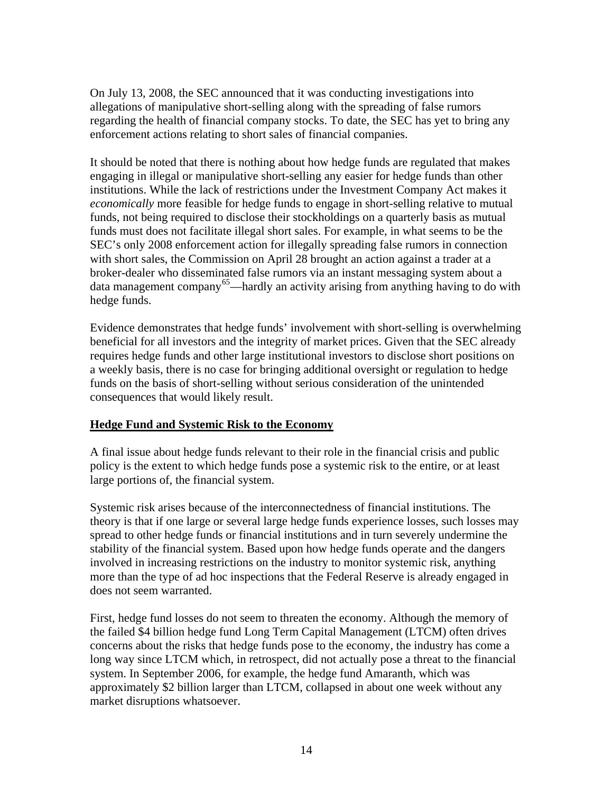On July 13, 2008, the SEC announced that it was conducting investigations into allegations of manipulative short-selling along with the spreading of false rumors regarding the health of financial company stocks. To date, the SEC has yet to bring any enforcement actions relating to short sales of financial companies.

It should be noted that there is nothing about how hedge funds are regulated that makes engaging in illegal or manipulative short-selling any easier for hedge funds than other institutions. While the lack of restrictions under the Investment Company Act makes it *economically* more feasible for hedge funds to engage in short-selling relative to mutual funds, not being required to disclose their stockholdings on a quarterly basis as mutual funds must does not facilitate illegal short sales. For example, in what seems to be the SEC's only 2008 enforcement action for illegally spreading false rumors in connection with short sales, the Commission on April 28 brought an action against a trader at a broker-dealer who disseminated false rumors via an instant messaging system about a data management company<sup>65</sup>—hardly an activity arising from anything having to do with hedge funds.

Evidence demonstrates that hedge funds' involvement with short-selling is overwhelming beneficial for all investors and the integrity of market prices. Given that the SEC already requires hedge funds and other large institutional investors to disclose short positions on a weekly basis, there is no case for bringing additional oversight or regulation to hedge funds on the basis of short-selling without serious consideration of the unintended consequences that would likely result.

### **Hedge Fund and Systemic Risk to the Economy**

A final issue about hedge funds relevant to their role in the financial crisis and public policy is the extent to which hedge funds pose a systemic risk to the entire, or at least large portions of, the financial system.

Systemic risk arises because of the interconnectedness of financial institutions. The theory is that if one large or several large hedge funds experience losses, such losses may spread to other hedge funds or financial institutions and in turn severely undermine the stability of the financial system. Based upon how hedge funds operate and the dangers involved in increasing restrictions on the industry to monitor systemic risk, anything more than the type of ad hoc inspections that the Federal Reserve is already engaged in does not seem warranted.

First, hedge fund losses do not seem to threaten the economy. Although the memory of the failed \$4 billion hedge fund Long Term Capital Management (LTCM) often drives concerns about the risks that hedge funds pose to the economy, the industry has come a long way since LTCM which, in retrospect, did not actually pose a threat to the financial system. In September 2006, for example, the hedge fund Amaranth, which was approximately \$2 billion larger than LTCM, collapsed in about one week without any market disruptions whatsoever.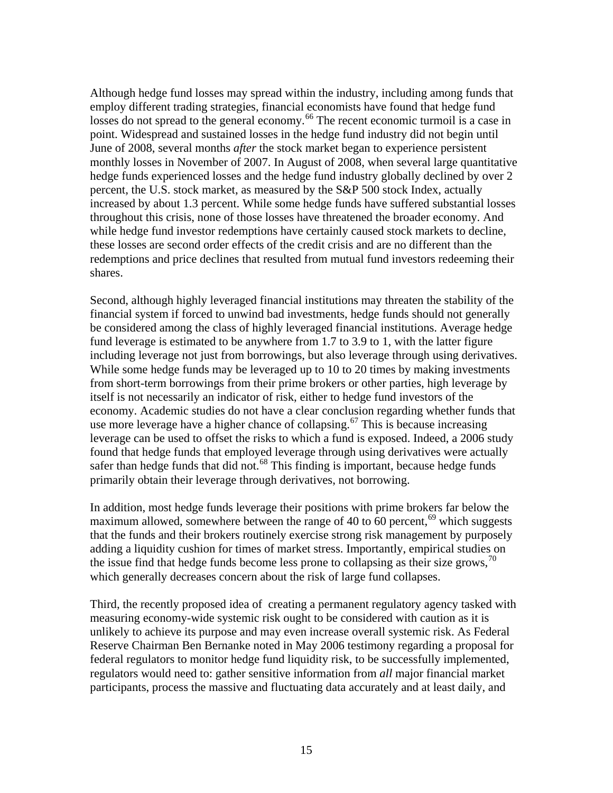Although hedge fund losses may spread within the industry, including among funds that employ different trading strategies, financial economists have found that hedge fund losses do not spread to the general economy.<sup>[66](#page-19-0)</sup> The recent economic turmoil is a case in point. Widespread and sustained losses in the hedge fund industry did not begin until June of 2008, several months *after* the stock market began to experience persistent monthly losses in November of 2007. In August of 2008, when several large quantitative hedge funds experienced losses and the hedge fund industry globally declined by over 2 percent, the U.S. stock market, as measured by the S&P 500 stock Index, actually increased by about 1.3 percent. While some hedge funds have suffered substantial losses throughout this crisis, none of those losses have threatened the broader economy. And while hedge fund investor redemptions have certainly caused stock markets to decline, these losses are second order effects of the credit crisis and are no different than the redemptions and price declines that resulted from mutual fund investors redeeming their shares.

Second, although highly leveraged financial institutions may threaten the stability of the financial system if forced to unwind bad investments, hedge funds should not generally be considered among the class of highly leveraged financial institutions. Average hedge fund leverage is estimated to be anywhere from 1.7 to 3.9 to 1, with the latter figure including leverage not just from borrowings, but also leverage through using derivatives. While some hedge funds may be leveraged up to 10 to 20 times by making investments from short-term borrowings from their prime brokers or other parties, high leverage by itself is not necessarily an indicator of risk, either to hedge fund investors of the economy. Academic studies do not have a clear conclusion regarding whether funds that use more leverage have a higher chance of collapsing.<sup>[67](#page-19-0)</sup> This is because increasing leverage can be used to offset the risks to which a fund is exposed. Indeed, a 2006 study found that hedge funds that employed leverage through using derivatives were actually safer than hedge funds that did not.<sup>68</sup> This finding is important, because hedge funds primarily obtain their leverage through derivatives, not borrowing.

In addition, most hedge funds leverage their positions with prime brokers far below the maximum allowed, somewhere between the range of 40 to  $60$  percent,  $69$  which suggests that the funds and their brokers routinely exercise strong risk management by purposely adding a liquidity cushion for times of market stress. Importantly, empirical studies on the issue find that hedge funds become less prone to collapsing as their size grows,  $^{70}$  $^{70}$  $^{70}$ which generally decreases concern about the risk of large fund collapses.

Third, the recently proposed idea of creating a permanent regulatory agency tasked with measuring economy-wide systemic risk ought to be considered with caution as it is unlikely to achieve its purpose and may even increase overall systemic risk. As Federal Reserve Chairman Ben Bernanke noted in May 2006 testimony regarding a proposal for federal regulators to monitor hedge fund liquidity risk, to be successfully implemented, regulators would need to: gather sensitive information from *all* major financial market participants, process the massive and fluctuating data accurately and at least daily, and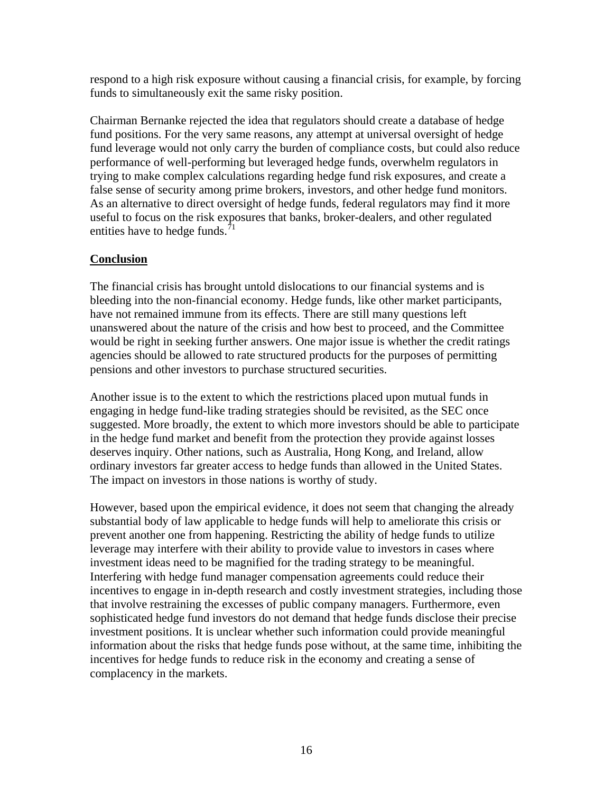respond to a high risk exposure without causing a financial crisis, for example, by forcing funds to simultaneously exit the same risky position.

Chairman Bernanke rejected the idea that regulators should create a database of hedge fund positions. For the very same reasons, any attempt at universal oversight of hedge fund leverage would not only carry the burden of compliance costs, but could also reduce performance of well-performing but leveraged hedge funds, overwhelm regulators in trying to make complex calculations regarding hedge fund risk exposures, and create a false sense of security among prime brokers, investors, and other hedge fund monitors. As an alternative to direct oversight of hedge funds, federal regulators may find it more useful to focus on the risk exposures that banks, broker-dealers, and other regulated entities have to hedge funds.<sup>[71](#page-19-0)</sup>

### **Conclusion**

The financial crisis has brought untold dislocations to our financial systems and is bleeding into the non-financial economy. Hedge funds, like other market participants, have not remained immune from its effects. There are still many questions left unanswered about the nature of the crisis and how best to proceed, and the Committee would be right in seeking further answers. One major issue is whether the credit ratings agencies should be allowed to rate structured products for the purposes of permitting pensions and other investors to purchase structured securities.

Another issue is to the extent to which the restrictions placed upon mutual funds in engaging in hedge fund-like trading strategies should be revisited, as the SEC once suggested. More broadly, the extent to which more investors should be able to participate in the hedge fund market and benefit from the protection they provide against losses deserves inquiry. Other nations, such as Australia, Hong Kong, and Ireland, allow ordinary investors far greater access to hedge funds than allowed in the United States. The impact on investors in those nations is worthy of study.

However, based upon the empirical evidence, it does not seem that changing the already substantial body of law applicable to hedge funds will help to ameliorate this crisis or prevent another one from happening. Restricting the ability of hedge funds to utilize leverage may interfere with their ability to provide value to investors in cases where investment ideas need to be magnified for the trading strategy to be meaningful. Interfering with hedge fund manager compensation agreements could reduce their incentives to engage in in-depth research and costly investment strategies, including those that involve restraining the excesses of public company managers. Furthermore, even sophisticated hedge fund investors do not demand that hedge funds disclose their precise investment positions. It is unclear whether such information could provide meaningful information about the risks that hedge funds pose without, at the same time, inhibiting the incentives for hedge funds to reduce risk in the economy and creating a sense of complacency in the markets.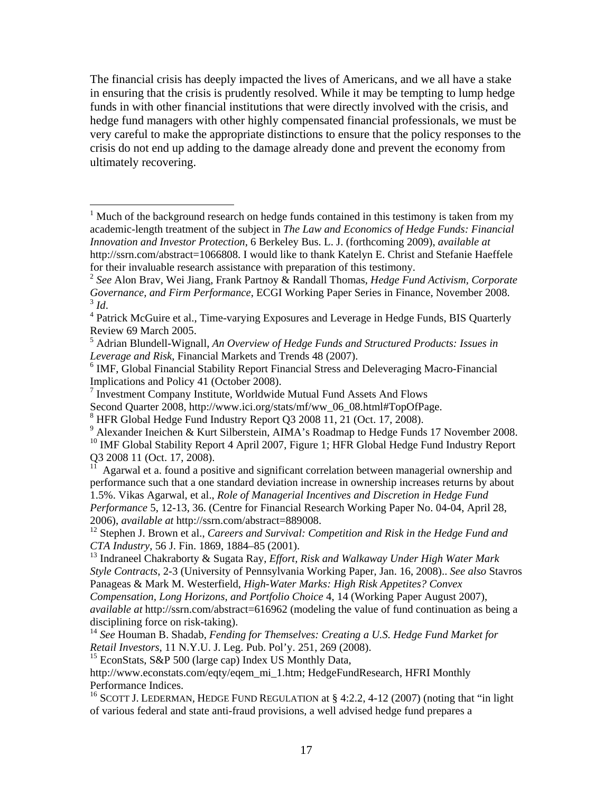<span id="page-16-1"></span>The financial crisis has deeply impacted the lives of Americans, and we all have a stake in ensuring that the crisis is prudently resolved. While it may be tempting to lump hedge funds in with other financial institutions that were directly involved with the crisis, and hedge fund managers with other highly compensated financial professionals, we must be very careful to make the appropriate distinctions to ensure that the policy responses to the crisis do not end up adding to the damage already done and prevent the economy from ultimately recovering.

 $\overline{a}$ 

<sup>12</sup> Stephen J. Brown et al., *Careers and Survival: Competition and Risk in the Hedge Fund and CTA Industry*, 56 J. Fin. 1869, 1884–85 (2001).

13 Indraneel Chakraborty & Sugata Ray, *Effort, Risk and Walkaway Under High Water Mark Style Contracts*, 2-3 (University of Pennsylvania Working Paper, Jan. 16, 2008).. *See also* Stavros Panageas & Mark M. Westerfield, *High-Water Marks: High Risk Appetites? Convex* 

*Compensation, Long Horizons, and Portfolio Choice* 4, 14 (Working Paper August 2007), *available at* http://ssrn.com/abstract=616962 (modeling the value of fund continuation as being a disciplining force on risk-taking).

<sup>15</sup> EconStats, S&P 500 (large cap) Index US Monthly Data,

<span id="page-16-0"></span> $1$  Much of the background research on hedge funds contained in this testimony is taken from my academic-length treatment of the subject in *The Law and Economics of Hedge Funds: Financial Innovation and Investor Protection*, 6 Berkeley Bus. L. J. (forthcoming 2009), *available at* http://ssrn.com/abstract=1066808. I would like to thank Katelyn E. Christ and Stefanie Haeffele for their invaluable research assistance with preparation of this testimony.

<sup>2</sup> *See* Alon Brav, Wei Jiang, Frank Partnoy & Randall Thomas, *Hedge Fund Activism, Corporate Governance, and Firm Performance*, ECGI Working Paper Series in Finance, November 2008.  $3$  *Id.* 

Patrick McGuire et al., Time-varying Exposures and Leverage in Hedge Funds, BIS Quarterly Review 69 March 2005.

<sup>5</sup> Adrian Blundell-Wignall, *An Overview of Hedge Funds and Structured Products: Issues in Leverage and Risk*, Financial Markets and Trends 48 (2007).

<sup>&</sup>lt;sup>6</sup> IMF, Global Financial Stability Report Financial Stress and Deleveraging Macro-Financial Implications and Policy 41 (October 2008).

<sup>&</sup>lt;sup>7</sup> Investment Company Institute, Worldwide Mutual Fund Assets And Flows

Second Quarter 2008, http://www.ici.org/stats/mf/ww\_06\_08.html#TopOfPage.

<sup>&</sup>lt;sup>8</sup> HFR Global Hedge Fund Industry Report Q3 2008 11, 21 (Oct. 17, 2008).

<sup>&</sup>lt;sup>9</sup> Alexander Ineichen & Kurt Silberstein, AIMA's Roadmap to Hedge Funds 17 November 2008.

<sup>&</sup>lt;sup>10</sup> IMF Global Stability Report 4 April 2007, Figure 1; HFR Global Hedge Fund Industry Report  $Q3$  2008 11 (Oct. 17, 2008).

Agarwal et a. found a positive and significant correlation between managerial ownership and performance such that a one standard deviation increase in ownership increases returns by about 1.5%. Vikas Agarwal, et al., *Role of Managerial Incentives and Discretion in Hedge Fund Performance* 5, 12-13, 36. (Centre for Financial Research Working Paper No. 04-04, April 28, 2006), *available at* http://ssrn.com/abstract=889008.

<sup>14</sup> *See* Houman B. Shadab, *Fending for Themselves: Creating a U.S. Hedge Fund Market for Retail Investors*, 11 N.Y.U. J. Leg. Pub. Pol'y. 251, 269 (2008).

http://www.econstats.com/eqty/eqem\_mi\_1.htm; HedgeFundResearch, HFRI Monthly Performance Indices.

<sup>&</sup>lt;sup>16</sup> SCOTT J. LEDERMAN, HEDGE FUND REGULATION at  $\S 4:2.2$ , 4-12 (2007) (noting that "in light" of various federal and state anti-fraud provisions, a well advised hedge fund prepares a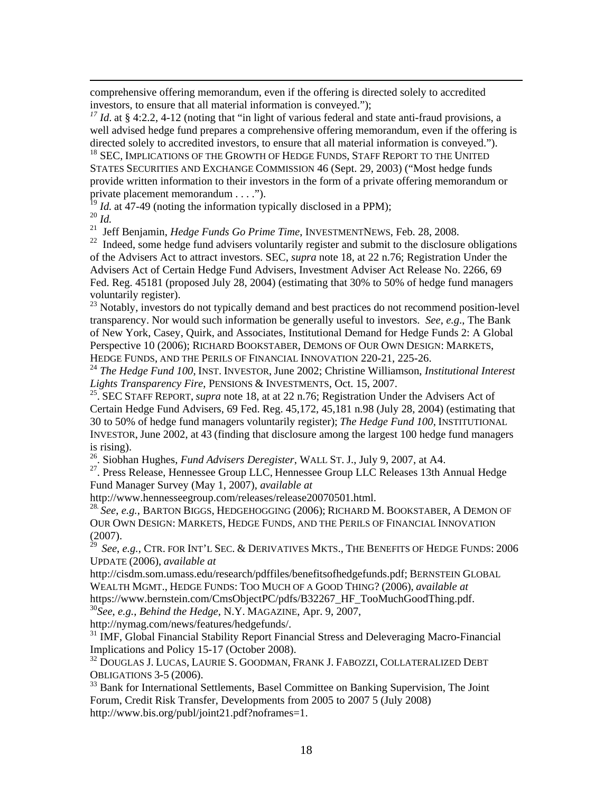<span id="page-17-0"></span>comprehensive offering memorandum, even if the offering is directed solely to accredited investors, to ensure that all material information is conveyed.");

<sup>17</sup> Id. at § 4:2.2, 4-12 (noting that "in light of various federal and state anti-fraud provisions, a well advised hedge fund prepares a comprehensive offering memorandum, even if the offering is directed solely to accredited investors, to ensure that all material information is conveyed.").

<sup>18</sup> SEC, IMPLICATIONS OF THE GROWTH OF HEDGE FUNDS, STAFF REPORT TO THE UNITED STATES SECURITIES AND EXCHANGE COMMISSION 46 (Sept. 29, 2003) ("Most hedge funds provide written information to their investors in the form of a private offering memorandum or private placement memorandum . . . .").

 $19$  *Id.* at 47-49 (noting the information typically disclosed in a PPM);

<sup>20</sup> *Id.*

 $\overline{a}$ 

21 Jeff Benjamin, *Hedge Funds Go Prime Time*, INVESTMENTNEWS, Feb. 28, 2008.

 $^{22}$  Indeed, some hedge fund advisers voluntarily register and submit to the disclosure obligations of the Advisers Act to attract investors. SEC, *supra* note 18, at 22 n.76; Registration Under the Advisers Act of Certain Hedge Fund Advisers, Investment Adviser Act Release No. 2266, 69 Fed. Reg. 45181 (proposed July 28, 2004) (estimating that 30% to 50% of hedge fund managers voluntarily register).

<sup>23</sup> Notably, investors do not typically demand and best practices do not recommend position-level transparency. Nor would such information be generally useful to investors. *See*, *e.g*., The Bank of New York, Casey, Quirk, and Associates, Institutional Demand for Hedge Funds 2: A Global Perspective 10 (2006); RICHARD BOOKSTABER, DEMONS OF OUR OWN DESIGN: MARKETS, HEDGE FUNDS, AND THE PERILS OF FINANCIAL INNOVATION 220-21, 225-26.

<sup>24</sup> *The Hedge Fund 100*, INST. INVESTOR, June 2002; Christine Williamson, *Institutional Interest Lights Transparency Fire*, PENSIONS & INVESTMENTS, Oct. 15, 2007.

<sup>25</sup>. SEC STAFF REPORT, *supra* note 18, at at 22 n.76; Registration Under the Advisers Act of Certain Hedge Fund Advisers, 69 Fed. Reg. 45,172, 45,181 n.98 (July 28, 2004) (estimating that 30 to 50% of hedge fund managers voluntarily register); *The Hedge Fund 100*, INSTITUTIONAL INVESTOR, June 2002, at 43 (finding that disclosure among the largest 100 hedge fund managers is rising).

26. Siobhan Hughes, *Fund Advisers Deregister*, WALL ST. J., July 9, 2007, at A4.

<sup>27</sup>. Press Release, Hennessee Group LLC, Hennessee Group LLC Releases 13th Annual Hedge Fund Manager Survey (May 1, 2007), *available at* 

http://www.hennesseegroup.com/releases/release20070501.html.

<sup>28</sup>*. See*, *e.g.*, BARTON BIGGS, HEDGEHOGGING (2006); RICHARD M. BOOKSTABER, A DEMON OF OUR OWN DESIGN: MARKETS, HEDGE FUNDS, AND THE PERILS OF FINANCIAL INNOVATION  $(2007)$ .

<sup>29</sup> *See*, *e.g.*, CTR. FOR INT'L SEC. & DERIVATIVES MKTS., THE BENEFITS OF HEDGE FUNDS: 2006 UPDATE (2006), *available at*

http://cisdm.som.umass.edu/research/pdffiles/benefitsofhedgefunds.pdf; BERNSTEIN GLOBAL WEALTH MGMT., HEDGE FUNDS: TOO MUCH OF A GOOD THING? (2006), *available at* https://www.bernstein.com/CmsObjectPC/pdfs/B32267\_HF\_TooMuchGoodThing.pdf. <sup>30</sup>*See*, *e.g.*, *Behind the Hedge*, N.Y. MAGAZINE, Apr. 9, 2007,

http://nymag.com/news/features/hedgefunds/.

<sup>31</sup> IMF, Global Financial Stability Report Financial Stress and Deleveraging Macro-Financial Implications and Policy 15-17 (October 2008).

32 DOUGLAS J. LUCAS, LAURIE S. GOODMAN, FRANK J. FABOZZI, COLLATERALIZED DEBT OBLIGATIONS 3-5 (2006).

<sup>33</sup> Bank for International Settlements, Basel Committee on Banking Supervision, The Joint Forum, Credit Risk Transfer, Developments from 2005 to 2007 5 (July 2008) http://www.bis.org/publ/joint21.pdf?noframes=1.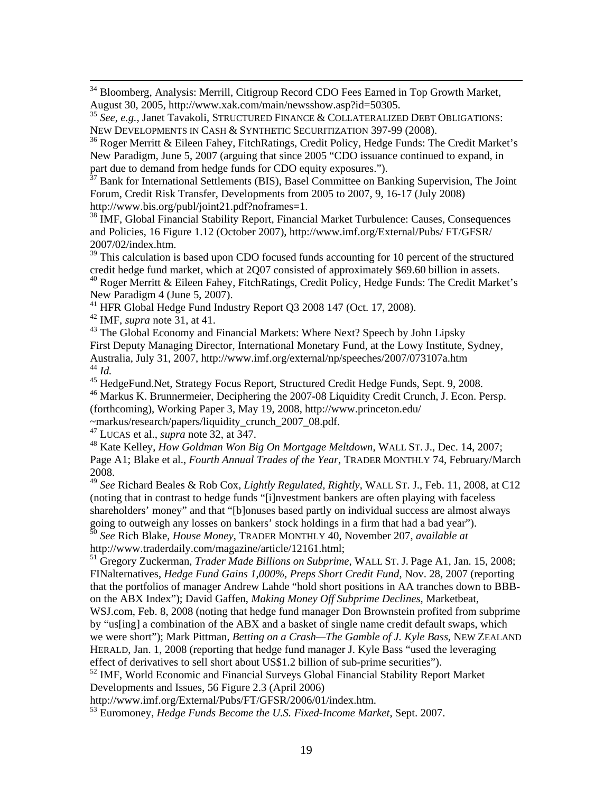<span id="page-18-0"></span><sup>34</sup> Bloomberg, Analysis: Merrill, Citigroup Record CDO Fees Earned in Top Growth Market, August 30, 2005, http://www.xak.com/main/newsshow.asp?id=50305.

<sup>36</sup> Roger Merritt & Eileen Fahey, FitchRatings, Credit Policy, Hedge Funds: The Credit Market's New Paradigm, June 5, 2007 (arguing that since 2005 "CDO issuance continued to expand, in part due to demand from hedge funds for CDO equity exposures.").

Bank for International Settlements (BIS), Basel Committee on Banking Supervision, The Joint Forum, Credit Risk Transfer, Developments from 2005 to 2007, 9, 16-17 (July 2008) http://www.bis.org/publ/joint21.pdf?noframes=1.

<sup>38</sup> IMF, Global Financial Stability Report, Financial Market Turbulence: Causes, Consequences and Policies, 16 Figure 1.12 (October 2007), http://www.imf.org/External/Pubs/ FT/GFSR/ 2007/02/index.htm.

 $39$  This calculation is based upon CDO focused funds accounting for 10 percent of the structured credit hedge fund market, which at 2Q07 consisted of approximately \$69.60 billion in assets.

40 Roger Merritt & Eileen Fahey, FitchRatings, Credit Policy, Hedge Funds: The Credit Market's New Paradigm 4 (June 5, 2007).

<sup>41</sup> HFR Global Hedge Fund Industry Report Q3 2008 147 (Oct. 17, 2008).

42 IMF, *supra* note 31, at 41.

<sup>43</sup> The Global Economy and Financial Markets: Where Next? Speech by John Lipsky First Deputy Managing Director, International Monetary Fund, at the Lowy Institute, Sydney, Australia, July 31, 2007, http://www.imf.org/external/np/speeches/2007/073107a.htm <sup>44</sup> *Id.*

45 HedgeFund.Net, Strategy Focus Report, Structured Credit Hedge Funds, Sept. 9, 2008.

46 Markus K. Brunnermeier, Deciphering the 2007-08 Liquidity Credit Crunch, J. Econ. Persp. (forthcoming), Working Paper 3, May 19, 2008, http://www.princeton.edu/ ~markus/research/papers/liquidity\_crunch\_2007\_08.pdf.

47 LUCAS et al., *supra* note 32, at 347.

48 Kate Kelley, *How Goldman Won Big On Mortgage Meltdown*, WALL ST. J., Dec. 14, 2007; Page A1; Blake et al., *Fourth Annual Trades of the Year*, TRADER MONTHLY 74, February/March 2008.

<sup>49</sup> *See* Richard Beales & Rob Cox, *Lightly Regulated, Rightly*, WALL ST. J., Feb. 11, 2008, at C12 (noting that in contrast to hedge funds "[i]nvestment bankers are often playing with faceless shareholders' money" and that "[b]onuses based partly on individual success are almost always going to outweigh any losses on bankers' stock holdings in a firm that had a bad year").

<sup>50</sup> *See* Rich Blake, *House Money*, TRADER MONTHLY 40, November 207, *available at* http://www.traderdaily.com/magazine/article/12161.html;

51 Gregory Zuckerman, *Trader Made Billions on Subprime*, WALL ST. J. Page A1, Jan. 15, 2008; FINalternatives, *Hedge Fund Gains 1,000%, Preps Short Credit Fund*, Nov. 28, 2007 (reporting that the portfolios of manager Andrew Lahde "hold short positions in AA tranches down to BBBon the ABX Index"); David Gaffen, *Making Money Off Subprime Declines*, Marketbeat,

WSJ.com, Feb. 8, 2008 (noting that hedge fund manager Don Brownstein profited from subprime by "us[ing] a combination of the ABX and a basket of single name credit default swaps, which we were short"); Mark Pittman, *Betting on a Crash—The Gamble of J. Kyle Bass*, NEW ZEALAND HERALD, Jan. 1, 2008 (reporting that hedge fund manager J. Kyle Bass "used the leveraging effect of derivatives to sell short about US\$1.2 billion of sub-prime securities").

52 IMF, World Economic and Financial Surveys Global Financial Stability Report Market Developments and Issues, 56 Figure 2.3 (April 2006)

http://www.imf.org/External/Pubs/FT/GFSR/2006/01/index.htm.

53 Euromoney, *Hedge Funds Become the U.S. Fixed-Income Market*, Sept. 2007.

<sup>35</sup> *See*, *e.g.*, Janet Tavakoli, STRUCTURED FINANCE & COLLATERALIZED DEBT OBLIGATIONS: NEW DEVELOPMENTS IN CASH & SYNTHETIC SECURITIZATION 397-99 (2008).